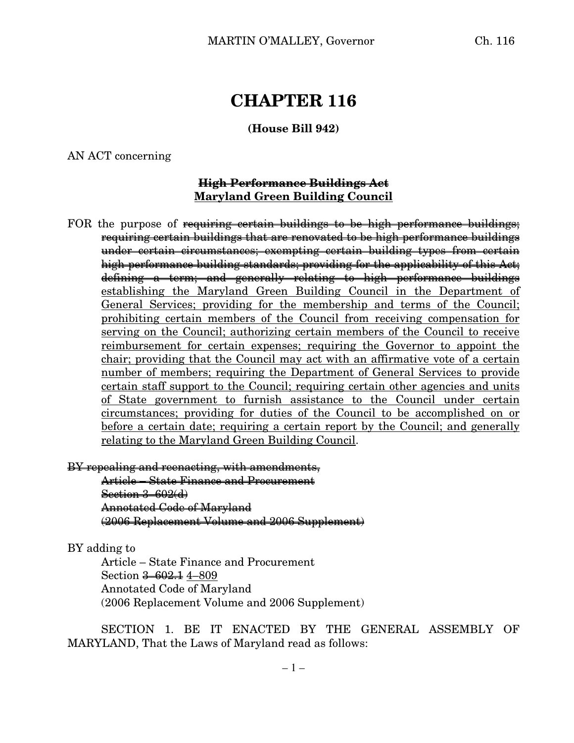## **CHAPTER 116**

**(House Bill 942)**

AN ACT concerning

## **High Performance Buildings Act Maryland Green Building Council**

FOR the purpose of requiring certain buildings to be high performance buildings; requiring certain buildings that are renovated to be high performance buildings under certain circumstances; exempting certain building types from certain high performance building standards; providing for the applicability of this Act; defining a term; and generally relating to high performance buildings establishing the Maryland Green Building Council in the Department of General Services; providing for the membership and terms of the Council; prohibiting certain members of the Council from receiving compensation for serving on the Council; authorizing certain members of the Council to receive reimbursement for certain expenses; requiring the Governor to appoint the chair; providing that the Council may act with an affirmative vote of a certain number of members; requiring the Department of General Services to provide certain staff support to the Council; requiring certain other agencies and units of State government to furnish assistance to the Council under certain circumstances; providing for duties of the Council to be accomplished on or before a certain date; requiring a certain report by the Council; and generally relating to the Maryland Green Building Council.

BY repealing and reenacting, with amendments,

Article – State Finance and Procurement Section 3–602(d) Annotated Code of Maryland (2006 Replacement Volume and 2006 Supplement)

BY adding to

Article – State Finance and Procurement Section 3–602.1 4–809 Annotated Code of Maryland (2006 Replacement Volume and 2006 Supplement)

SECTION 1. BE IT ENACTED BY THE GENERAL ASSEMBLY OF MARYLAND, That the Laws of Maryland read as follows: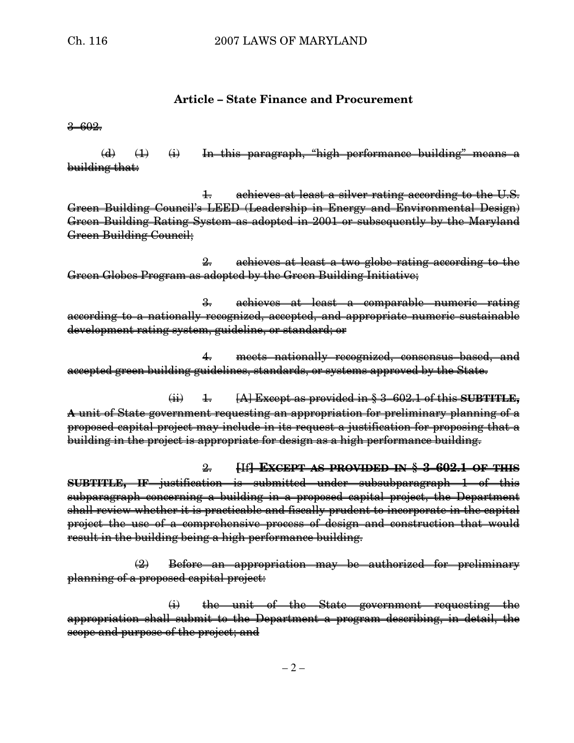## **Article – State Finance and Procurement**

3–602.

 $(d)$   $(1)$   $(i)$  In this paragraph, "high performance building" means a building that:

1. achieves at least a silver rating according to the U.S. Green Building Council's LEED (Leadership in Energy and Environmental Design) Green Building Rating System as adopted in 2001 or subsequently by the Maryland Green Building Council;

2. achieves at least a two globe rating according to the Green Globes Program as adopted by the Green Building Initiative;

3. achieves at least a comparable numeric rating according to a nationally recognized, accepted, and appropriate numeric sustainable development rating system, guideline, or standard; or

4. meets nationally recognized, consensus–based, and accepted green building guidelines, standards, or systems approved by the State.

(ii) 1. [A] Except as provided in § 3–602.1 of this **SUBTITLE, A** unit of State government requesting an appropriation for preliminary planning of a proposed capital project may include in its request a justification for proposing that a building in the project is appropriate for design as a high performance building.

2. **[**If**] EXCEPT AS PROVIDED IN § 3–602.1 OF THIS SUBTITLE, IF** justification is submitted under subsubparagraph 1 of this subparagraph concerning a building in a proposed capital project, the Department shall review whether it is practicable and fiscally prudent to incorporate in the capital project the use of a comprehensive process of design and construction that would result in the building being a high performance building.

(2) Before an appropriation may be authorized for preliminary planning of a proposed capital project:

(i) the unit of the State government requesting the appropriation shall submit to the Department a program describing, in detail, the scope and purpose of the project; and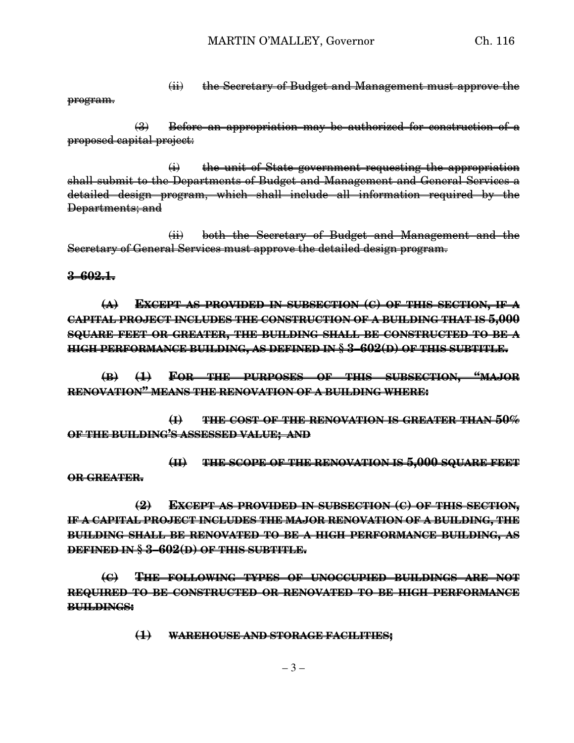(ii) the Secretary of Budget and Management must approve the

program.

(3) Before an appropriation may be authorized for construction of a proposed capital project:

 $\leftrightarrow$  the unit of State government requesting the appropriation shall submit to the Departments of Budget and Management and General Services a detailed design program, which shall include all information required by the Departments; and

(ii) both the Secretary of Budget and Management and the Secretary of General Services must approve the detailed design program.

**3–602.1.**

**(A) EXCEPT AS PROVIDED IN SUBSECTION (C) OF THIS SECTION, IF A CAPITAL PROJECT INCLUDES THE CONSTRUCTION OF A BUILDING THAT IS 5,000 SQUARE FEET OR GREATER, THE BUILDING SHALL BE CONSTRUCTED TO BE A HIGH PERFORMANCE BUILDING, AS DEFINED IN § 3–602(D) OF THIS SUBTITLE.**

**(B) (1) FOR THE PURPOSES OF THIS SUBSECTION, "MAJOR RENOVATION" MEANS THE RENOVATION OF A BUILDING WHERE:**

**(I) THE COST OF THE RENOVATION IS GREATER THAN 50% OF THE BUILDING'S ASSESSED VALUE; AND**

**(II) THE SCOPE OF THE RENOVATION IS 5,000 SQUARE FEET OR GREATER.**

**(2) EXCEPT AS PROVIDED IN SUBSECTION (C) OF THIS SECTION, IF A CAPITAL PROJECT INCLUDES THE MAJOR RENOVATION OF A BUILDING, THE BUILDING SHALL BE RENOVATED TO BE A HIGH PERFORMANCE BUILDING, AS DEFINED IN § 3–602(D) OF THIS SUBTITLE.**

**(C) THE FOLLOWING TYPES OF UNOCCUPIED BUILDINGS ARE NOT REQUIRED TO BE CONSTRUCTED OR RENOVATED TO BE HIGH PERFORMANCE BUILDINGS:**

**(1) WAREHOUSE AND STORAGE FACILITIES;**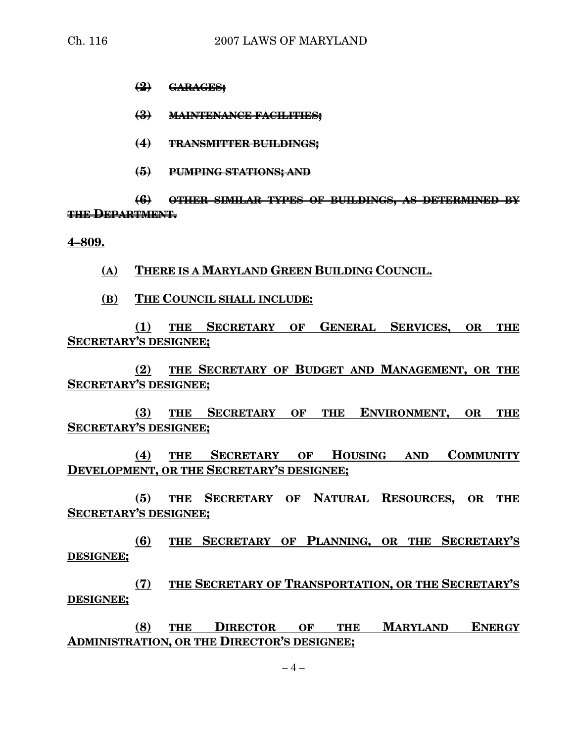**(2) GARAGES;**

**(3) MAINTENANCE FACILITIES;**

**(4) TRANSMITTER BUILDINGS;**

**(5) PUMPING STATIONS; AND**

**(6) OTHER SIMILAR TYPES OF BUILDINGS, AS DETERMINED BY THE DEPARTMENT.**

**4–809.**

**(A) THERE IS A MARYLAND GREEN BUILDING COUNCIL.**

**(B) THE COUNCIL SHALL INCLUDE:**

**(1) THE SECRETARY OF GENERAL SERVICES, OR THE SECRETARY'S DESIGNEE;**

**(2) THE SECRETARY OF BUDGET AND MANAGEMENT, OR THE SECRETARY'S DESIGNEE;**

**(3) THE SECRETARY OF THE ENVIRONMENT, OR THE SECRETARY'S DESIGNEE;**

**(4) THE SECRETARY OF HOUSING AND COMMUNITY DEVELOPMENT, OR THE SECRETARY'S DESIGNEE;**

**(5) THE SECRETARY OF NATURAL RESOURCES, OR THE SECRETARY'S DESIGNEE;**

**(6) THE SECRETARY OF PLANNING, OR THE SECRETARY'S DESIGNEE;**

**(7) THE SECRETARY OF TRANSPORTATION, OR THE SECRETARY'S DESIGNEE;**

**(8) THE DIRECTOR OF THE MARYLAND ENERGY ADMINISTRATION, OR THE DIRECTOR'S DESIGNEE;**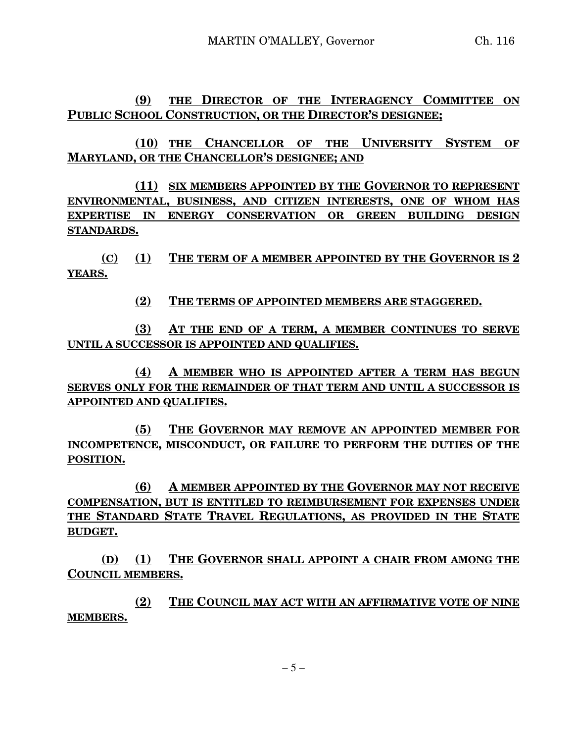**(9) THE DIRECTOR OF THE INTERAGENCY COMMITTEE ON PUBLIC SCHOOL CONSTRUCTION, OR THE DIRECTOR'S DESIGNEE;**

**(10) THE CHANCELLOR OF THE UNIVERSITY SYSTEM OF MARYLAND, OR THE CHANCELLOR'S DESIGNEE; AND**

**(11) SIX MEMBERS APPOINTED BY THE GOVERNOR TO REPRESENT ENVIRONMENTAL, BUSINESS, AND CITIZEN INTERESTS, ONE OF WHOM HAS EXPERTISE IN ENERGY CONSERVATION OR GREEN BUILDING DESIGN STANDARDS.**

**(C) (1) THE TERM OF A MEMBER APPOINTED BY THE GOVERNOR IS 2 YEARS.**

**(2) THE TERMS OF APPOINTED MEMBERS ARE STAGGERED.**

**(3) AT THE END OF A TERM, A MEMBER CONTINUES TO SERVE UNTIL A SUCCESSOR IS APPOINTED AND QUALIFIES.**

**(4) A MEMBER WHO IS APPOINTED AFTER A TERM HAS BEGUN SERVES ONLY FOR THE REMAINDER OF THAT TERM AND UNTIL A SUCCESSOR IS APPOINTED AND QUALIFIES.**

**(5) THE GOVERNOR MAY REMOVE AN APPOINTED MEMBER FOR INCOMPETENCE, MISCONDUCT, OR FAILURE TO PERFORM THE DUTIES OF THE POSITION.**

**(6) A MEMBER APPOINTED BY THE GOVERNOR MAY NOT RECEIVE COMPENSATION, BUT IS ENTITLED TO REIMBURSEMENT FOR EXPENSES UNDER THE STANDARD STATE TRAVEL REGULATIONS, AS PROVIDED IN THE STATE BUDGET.**

**(D) (1) THE GOVERNOR SHALL APPOINT A CHAIR FROM AMONG THE COUNCIL MEMBERS.**

**(2) THE COUNCIL MAY ACT WITH AN AFFIRMATIVE VOTE OF NINE MEMBERS.**